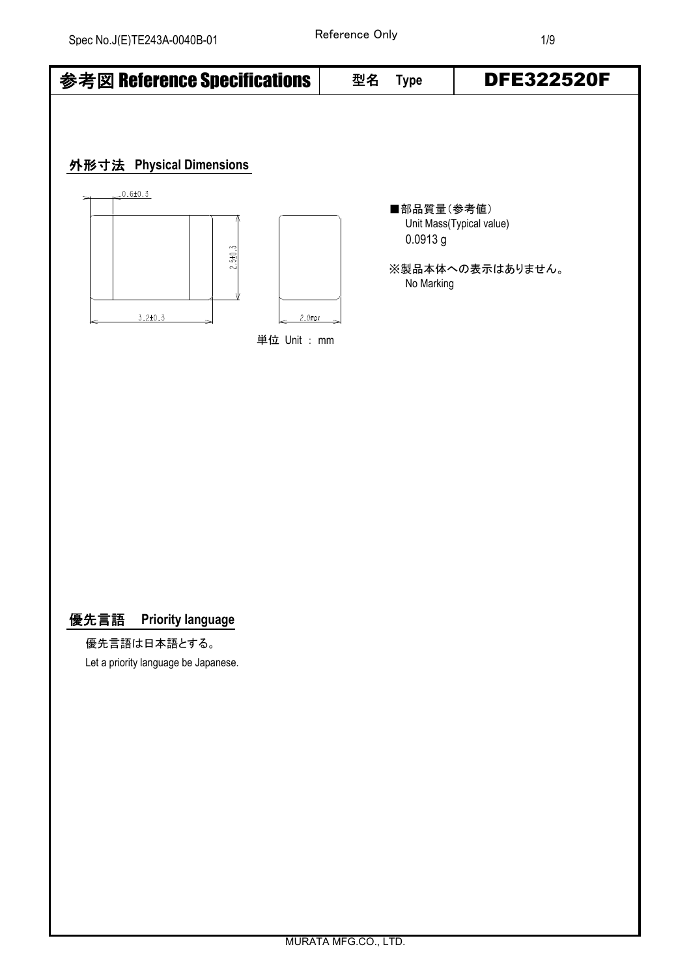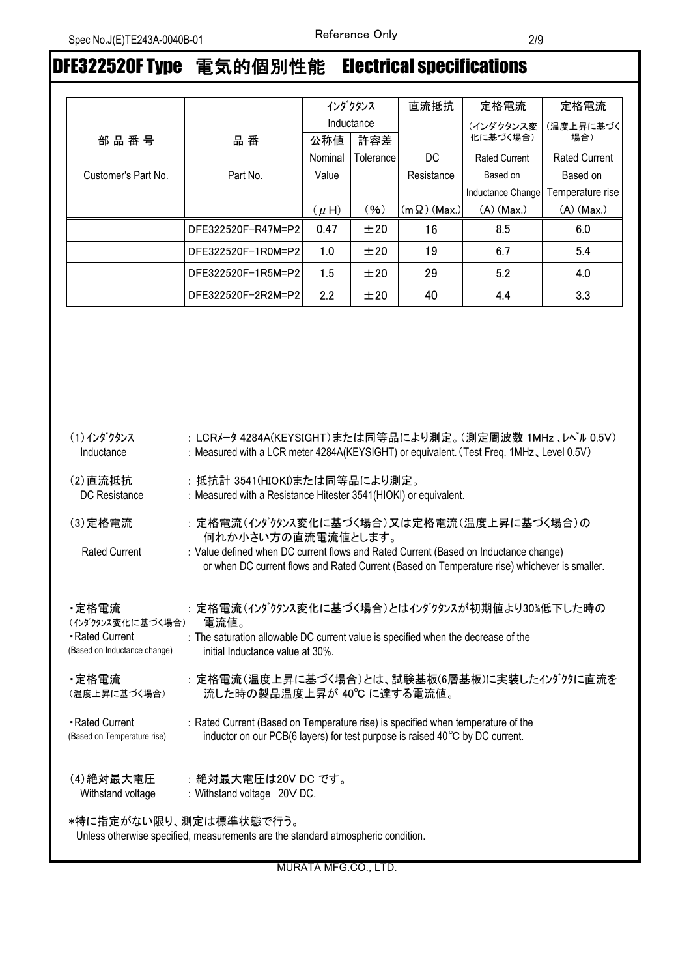# DFE322520F Type 電気的個別性能 Electrical specifications

|                     |                    |           | インダクタンス    | 直流抵抗                | 定格電流                 | 定格電流                 |
|---------------------|--------------------|-----------|------------|---------------------|----------------------|----------------------|
|                     |                    |           | Inductance |                     | (インダクタンス変            | (温度上昇に基づく            |
| 部品番号                | 品番                 | 公称値       | 許容差        |                     | 化に基づく場合)             | 場合)                  |
|                     |                    | Nominal   | Tolerance  | DC.                 | <b>Rated Current</b> | <b>Rated Current</b> |
| Customer's Part No. | Part No.           | Value     |            | Resistance          | Based on             | Based on             |
|                     |                    |           |            |                     | Inductance Change    | Temperature rise     |
|                     |                    | $(\mu H)$ | (96)       | $(m \Omega)$ (Max.) | $(A)$ (Max.)         | $(A)$ (Max.)         |
|                     | DFE322520F-R47M=P2 | 0.47      | ±20        | 16                  | 8.5                  | 6.0                  |
|                     | DFE322520F-1R0M=P2 | 1.0       | ±20        | 19                  | 6.7                  | 5.4                  |
|                     | DFE322520F-1R5M=P2 | 1.5       | ±20        | 29                  | 5.2                  | 4.0                  |
|                     | DFE322520F-2R2M=P2 | 2.2       | ±20        | 40                  | 4.4                  | 3.3                  |

| (1)インダクタンス                                                                                                 | : LCRメータ 4284A(KEYSIGHT)または同等品により測定。(測定周波数 1MHz 、レベル 0.5V)                                                                                                                           |  |  |
|------------------------------------------------------------------------------------------------------------|--------------------------------------------------------------------------------------------------------------------------------------------------------------------------------------|--|--|
| Inductance                                                                                                 | : Measured with a LCR meter 4284A(KEYSIGHT) or equivalent. (Test Freq. 1MHz, Level 0.5V)                                                                                             |  |  |
| (2) 直流抵抗                                                                                                   | : 抵抗計 3541(HIOKI)または同等品により測定。                                                                                                                                                        |  |  |
| DC Resistance                                                                                              | : Measured with a Resistance Hitester 3541(HIOKI) or equivalent.                                                                                                                     |  |  |
| (3) 定格電流                                                                                                   | : 定格電流(インダクタンス変化に基づく場合)又は定格電流(温度上昇に基づく場合)の<br>何れか小さい方の直流電流値とします。                                                                                                                     |  |  |
| <b>Rated Current</b>                                                                                       | : Value defined when DC current flows and Rated Current (Based on Inductance change)<br>or when DC current flows and Rated Current (Based on Temperature rise) whichever is smaller. |  |  |
| ・定格電流                                                                                                      | : 定格電流(インダクタンス変化に基づく場合)とはインダクタンスが初期値より30%低下した時の                                                                                                                                      |  |  |
| (インダクタンス変化に基づく場合)                                                                                          | 電流値。                                                                                                                                                                                 |  |  |
| - Rated Current                                                                                            | : The saturation allowable DC current value is specified when the decrease of the                                                                                                    |  |  |
| (Based on Inductance change)                                                                               | initial Inductance value at 30%.                                                                                                                                                     |  |  |
| ・定格電流                                                                                                      | : 定格電流(温度上昇に基づく場合)とは、試験基板(6層基板)に実装したインダクタに直流を                                                                                                                                        |  |  |
| (温度上昇に基づく場合)                                                                                               | 流した時の製品温度上昇が 40℃ に達する電流値。                                                                                                                                                            |  |  |
| - Rated Current                                                                                            | : Rated Current (Based on Temperature rise) is specified when temperature of the                                                                                                     |  |  |
| (Based on Temperature rise)                                                                                | inductor on our PCB(6 layers) for test purpose is raised 40°C by DC current.                                                                                                         |  |  |
| (4) 絶対最大電圧                                                                                                 | :絶対最大電圧は20V DC です。                                                                                                                                                                   |  |  |
| Withstand voltage                                                                                          | : Withstand voltage 20V DC.                                                                                                                                                          |  |  |
| *特に指定がない限り、測定は標準状態で行う。<br>Unless otherwise specified, measurements are the standard atmospheric condition. |                                                                                                                                                                                      |  |  |

MURATA MFG.CO., LTD.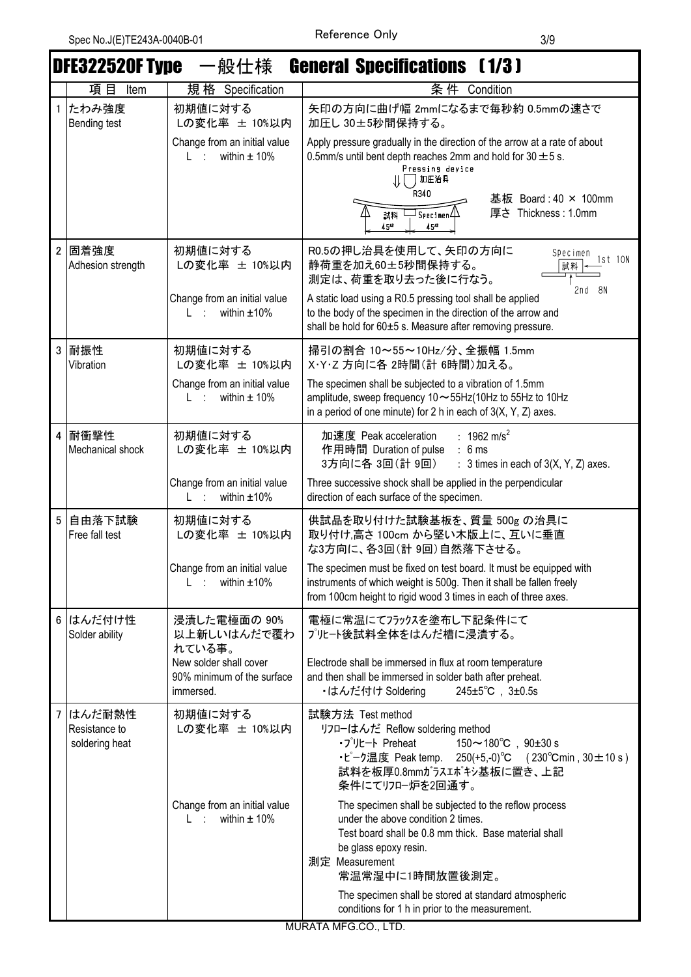$\overline{\phantom{a}}$ 

ī

|   | <b>DFE322520F Type</b>                    | 一般仕様                                                                | <b>General Specifications (1/3)</b>                                                                                                                                                                                                                                                               |
|---|-------------------------------------------|---------------------------------------------------------------------|---------------------------------------------------------------------------------------------------------------------------------------------------------------------------------------------------------------------------------------------------------------------------------------------------|
|   | 項目<br>Item                                | 規格 Specification                                                    | 条件 Condition                                                                                                                                                                                                                                                                                      |
| 1 | たわみ強度<br>Bending test                     | 初期値に対する<br>Lの変化率 ± 10%以内                                            | 矢印の方向に曲げ幅 2mmになるまで毎秒約 0.5mmの速さで<br>加圧し 30±5秒間保持する。                                                                                                                                                                                                                                                |
|   |                                           | Change from an initial value<br>within $\pm$ 10%<br>$L \rightarrow$ | Apply pressure gradually in the direction of the arrow at a rate of about<br>0.5mm/s until bent depth reaches 2mm and hold for 30 $\pm$ 5 s.<br>Pressing device<br>加圧治具<br>R340<br>基板 Board: 40 × 100mm<br>厚さ Thickness: 1.0mm<br>$\overline{\mathsf{J}_{\mathsf{Spec\,imen}}\mathsf{\mu}}$<br>試料 |
|   |                                           |                                                                     | 45*2<br>$45^{*2}$                                                                                                                                                                                                                                                                                 |
|   | 2 固着強度<br>Adhesion strength               | 初期値に対する<br>Lの変化率 ± 10%以内                                            | R0.5の押し治具を使用して、矢印の方向に<br>Specimen<br>1st 10N<br>静荷重を加え60±5秒間保持する。<br>試料<br>測定は、荷重を取り去った後に行なう。<br>2nd 8N                                                                                                                                                                                           |
|   |                                           | Change from an initial value<br>within $±10\%$<br>L ÷               | A static load using a R0.5 pressing tool shall be applied<br>to the body of the specimen in the direction of the arrow and<br>shall be hold for 60±5 s. Measure after removing pressure.                                                                                                          |
| 3 | 耐振性<br>Vibration                          | 初期値に対する<br>Lの変化率 ± 10%以内                                            | 掃引の割合 10~55~10Hz/分、全振幅 1.5mm<br>X・Y・Z 方向に各 2時間(計 6時間)加える。                                                                                                                                                                                                                                         |
|   |                                           | Change from an initial value<br>within $\pm$ 10%<br>Listonia        | The specimen shall be subjected to a vibration of 1.5mm<br>amplitude, sweep frequency $10 \sim 55$ Hz $(10$ Hz to $55$ Hz to $10$ Hz<br>in a period of one minute) for 2 h in each of $3(X, Y, Z)$ axes.                                                                                          |
| 4 | 耐衝撃性<br>Mechanical shock                  | 初期値に対する<br>Lの変化率 ± 10%以内                                            | : 1962 m/s <sup>2</sup><br>加速度 Peak acceleration<br>作用時間 Duration of pulse<br>: 6 ms<br>3方向に各 3回(計 9回)<br>: $3$ times in each of $3(X, Y, Z)$ axes.                                                                                                                                               |
|   |                                           | Change from an initial value<br>within $±10\%$<br>L ÷               | Three successive shock shall be applied in the perpendicular<br>direction of each surface of the specimen.                                                                                                                                                                                        |
| 5 | 自由落下試験<br>Free fall test                  | 初期値に対する<br>Lの変化率 ± 10%以内                                            | 供試品を取り付けた試験基板を、質量 500g の治具に<br>取り付け,高さ100cm から堅い木版上に、互いに垂直<br>な3方向に、各3回(計9回)自然落下させる。                                                                                                                                                                                                              |
|   |                                           | Change from an initial value<br>within $±10\%$                      | The specimen must be fixed on test board. It must be equipped with<br>instruments of which weight is 500g. Then it shall be fallen freely<br>from 100cm height to rigid wood 3 times in each of three axes.                                                                                       |
|   | 6 はんだ付け性<br>Solder ability                | 浸漬した電極面の 90%<br>以上新しいはんだで覆わ<br>れている事。                               | 電極に常温にてフラックスを塗布し下記条件にて<br>プリヒート後試料全体をはんだ槽に浸漬する。                                                                                                                                                                                                                                                   |
|   |                                           | New solder shall cover<br>90% minimum of the surface<br>immersed.   | Electrode shall be immersed in flux at room temperature<br>and then shall be immersed in solder bath after preheat.<br>・はんだ付け Soldering<br>$245 \pm 5^{\circ}C$ , $3 \pm 0.5s$                                                                                                                    |
|   | はんだ耐熱性<br>Resistance to<br>soldering heat | 初期値に対する<br>Lの変化率 ± 10%以内                                            | 試験方法 Test method<br>リフローはんだ Reflow soldering method<br>$150 \sim 180^{\circ}$ C, $90 \pm 30$ s<br>・プリヒート Preheat<br>• ピーク温度 Peak temp. 250(+5,-0) °C (230 °Cmin, 30 ± 10 s)<br>試料を板厚0.8mmガラスエポキシ基板に置き、上記<br>条件にてリフロー炉を2回通す。                                                                       |
|   |                                           | Change from an initial value<br>within $\pm$ 10%<br>L to            | The specimen shall be subjected to the reflow process<br>under the above condition 2 times.<br>Test board shall be 0.8 mm thick. Base material shall<br>be glass epoxy resin.<br>測定 Measurement<br>常温常湿中に1時間放置後測定。                                                                                |
|   |                                           |                                                                     | The specimen shall be stored at standard atmospheric<br>conditions for 1 h in prior to the measurement.                                                                                                                                                                                           |

MURATA MFG.CO., LTD.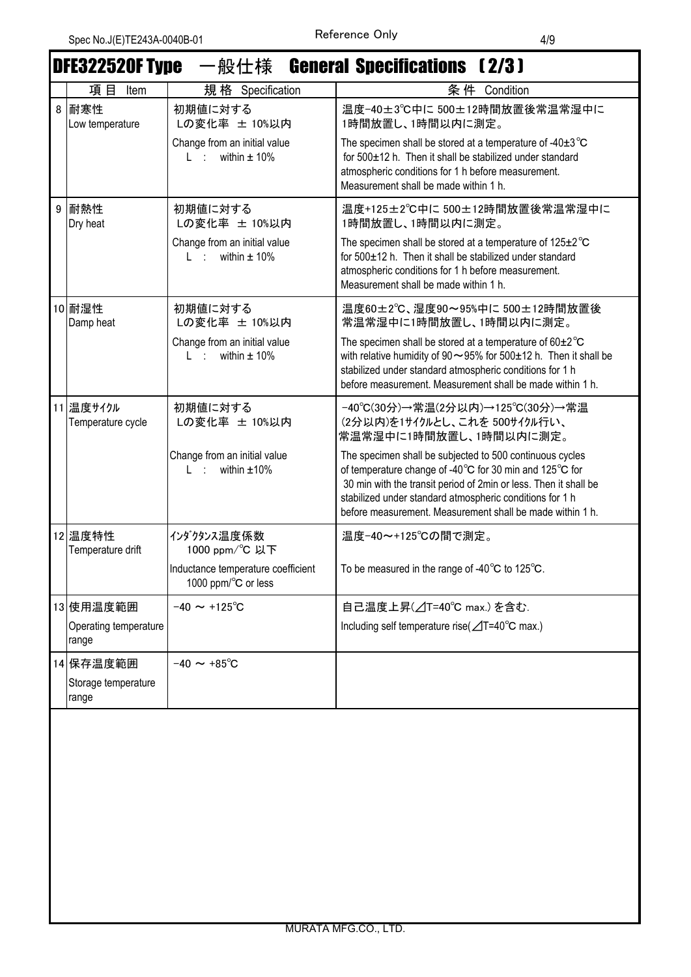|   | DFE322520F Type 一般仕様 General Specifications 〔2/3〕 |                                                                     |                                                                                                                                                                                                                                                                                                                  |  |
|---|---------------------------------------------------|---------------------------------------------------------------------|------------------------------------------------------------------------------------------------------------------------------------------------------------------------------------------------------------------------------------------------------------------------------------------------------------------|--|
|   | 項目<br>Item                                        | 規格 Specification                                                    | 条件 Condition                                                                                                                                                                                                                                                                                                     |  |
| 8 | 耐寒性<br>Low temperature                            | 初期値に対する<br>Lの変化率 ± 10%以内                                            | 温度-40±3℃中に 500±12時間放置後常温常湿中に<br>1時間放置し、1時間以内に測定。                                                                                                                                                                                                                                                                 |  |
|   |                                                   | Change from an initial value<br>L : within $\pm$ 10%                | The specimen shall be stored at a temperature of -40 $\pm$ 3 $^{\circ}$ C<br>for 500±12 h. Then it shall be stabilized under standard<br>atmospheric conditions for 1 h before measurement.<br>Measurement shall be made within 1 h.                                                                             |  |
| 9 | 耐熱性<br>Dry heat                                   | 初期値に対する<br>Lの変化率 ± 10%以内                                            | 温度+125±2℃中に 500±12時間放置後常温常湿中に<br>1時間放置し、1時間以内に測定。                                                                                                                                                                                                                                                                |  |
|   |                                                   | Change from an initial value<br>within $\pm$ 10%<br>$L \rightarrow$ | The specimen shall be stored at a temperature of 125±2°C<br>for 500±12 h. Then it shall be stabilized under standard<br>atmospheric conditions for 1 h before measurement.<br>Measurement shall be made within 1 h.                                                                                              |  |
|   | 10 耐湿性<br>Damp heat                               | 初期値に対する<br>Lの変化率 ± 10%以内                                            | 温度60±2℃、湿度90~95%中に 500±12時間放置後<br>常温常湿中に1時間放置し、1時間以内に測定。                                                                                                                                                                                                                                                         |  |
|   |                                                   | Change from an initial value<br>L : within $\pm$ 10%                | The specimen shall be stored at a temperature of $60\pm2^{\circ}C$<br>with relative humidity of $90 \sim 95\%$ for $500 \pm 12$ h. Then it shall be<br>stabilized under standard atmospheric conditions for 1 h<br>before measurement. Measurement shall be made within 1 h.                                     |  |
|   | 11 温度サイクル<br>Temperature cycle                    | 初期値に対する<br>Lの変化率 ± 10%以内                                            | -40℃(30分)→常温(2分以内)→125℃(30分)→常温<br>(2分以内)を1サイクルとし、これを 500サイクル行い、<br>常温常湿中に1時間放置し、1時間以内に測定。                                                                                                                                                                                                                       |  |
|   |                                                   | Change from an initial value<br>$L :$ within $\pm 10\%$             | The specimen shall be subjected to 500 continuous cycles<br>of temperature change of -40°C for 30 min and 125°C for<br>30 min with the transit period of 2min or less. Then it shall be<br>stabilized under standard atmospheric conditions for 1 h<br>before measurement. Measurement shall be made within 1 h. |  |
|   | 12 温度特性<br>Temperature drift                      | インダクタンス温度係数<br>1000 ppm/°C 以下                                       | 温度-40~+125℃の間で測定。                                                                                                                                                                                                                                                                                                |  |
|   |                                                   | Inductance temperature coefficient<br>1000 ppm/°C or less           | To be measured in the range of -40 $^{\circ}$ C to 125 $^{\circ}$ C.                                                                                                                                                                                                                                             |  |
|   | 13 使用温度範囲                                         | $-40 \sim +125^{\circ}C$                                            | 自己温度上昇(△T=40℃ max.) を含む.                                                                                                                                                                                                                                                                                         |  |
|   | Operating temperature<br>range                    |                                                                     | Including self temperature rise(⊿T=40°C max.)                                                                                                                                                                                                                                                                    |  |
|   | 14 保存温度範囲                                         | $-40 \sim +85^{\circ}C$                                             |                                                                                                                                                                                                                                                                                                                  |  |
|   | Storage temperature<br>range                      |                                                                     |                                                                                                                                                                                                                                                                                                                  |  |
|   |                                                   |                                                                     |                                                                                                                                                                                                                                                                                                                  |  |
|   |                                                   |                                                                     |                                                                                                                                                                                                                                                                                                                  |  |
|   |                                                   |                                                                     |                                                                                                                                                                                                                                                                                                                  |  |
|   |                                                   |                                                                     |                                                                                                                                                                                                                                                                                                                  |  |
|   |                                                   |                                                                     |                                                                                                                                                                                                                                                                                                                  |  |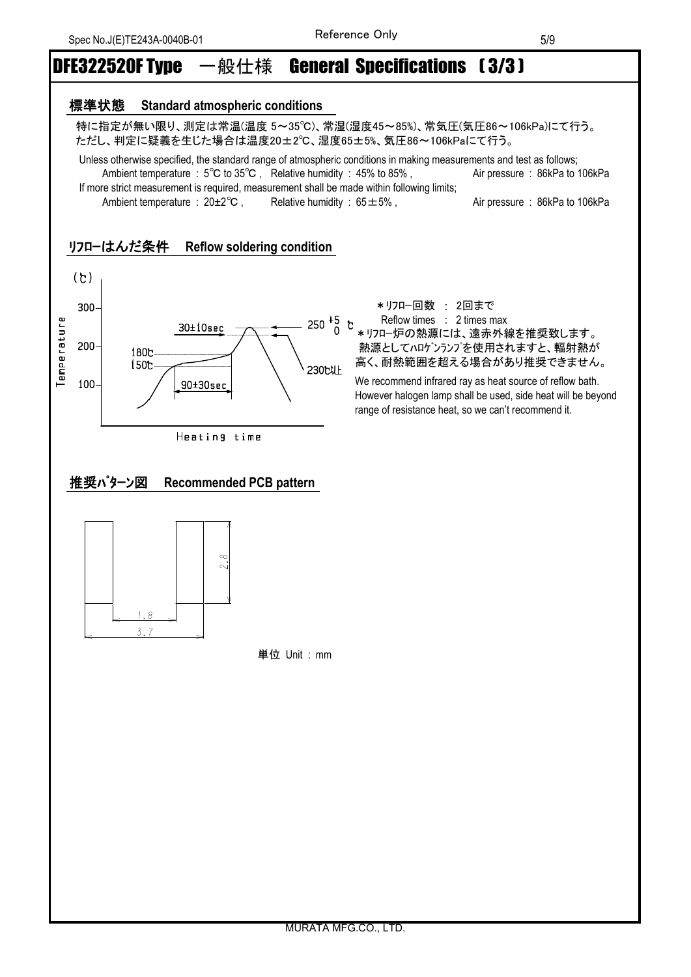## DFE322520F Type 一般仕様 General Specifications 〔3/3〕

#### 標準状態 **Standard atmospheric conditions**

 特に指定が無い限り、測定は常温(温度 5~35℃)、常湿(湿度45~85%)、常気圧(気圧86~106kPa)にて行う。 ただし、判定に疑義を生じた場合は温度20±2℃、湿度65±5%、気圧86~106kPaにて行う。

 Unless otherwise specified, the standard range of atmospheric conditions in making measurements and test as follows; Ambient temperature : 5℃ to 35℃, Relative humidity : 45% to 85%, Air pressure : 86kPa to 106kPa If more strict measurement is required, measurement shall be made within following limits;

Ambient temperature : 20±2<sup>°</sup>C , Relative humidity : 65±5% , Air pressure : 86kPa to 106kPa

#### リフローはんだ条件 **Reflow soldering condition**





Reflow times : 2 times max

250 <sup>+5</sup> t Reflow times : 2 times max<br>0 \* リフロー炉の熱源には、遠赤外線を推奨致します。 熱源としてハロゲンランプを使用されますと、輻射熱が 高く、耐熱範囲を超える場合があり推奨できません。

> We recommend infrared ray as heat source of reflow bath. However halogen lamp shall be used, side heat will be beyond range of resistance heat, so we can't recommend it.

### 推奨パターン図 **Recommended PCB pattern**



単位 Unit : mm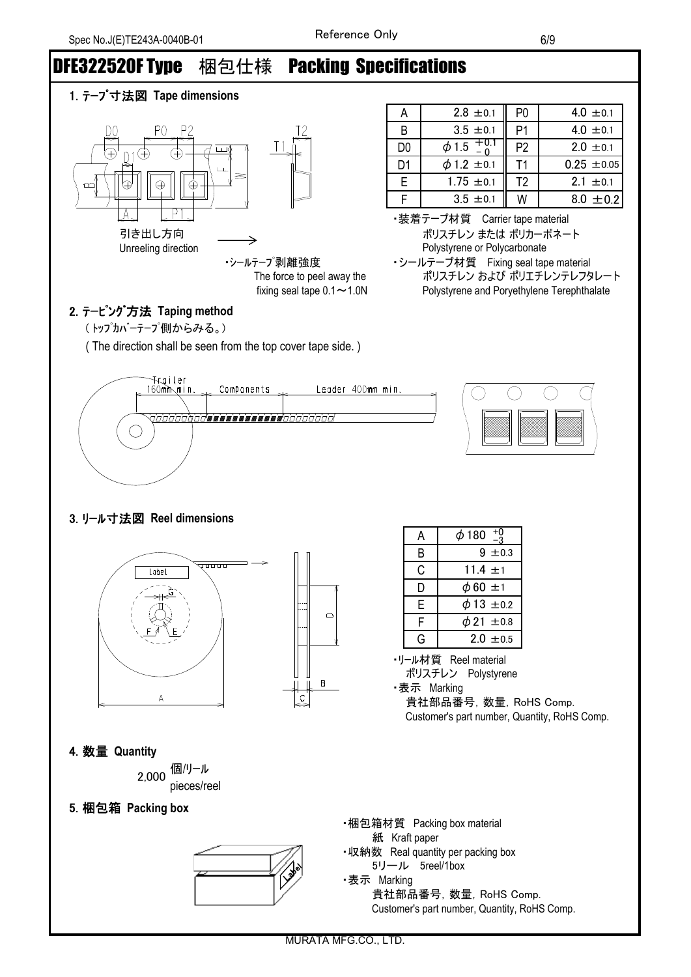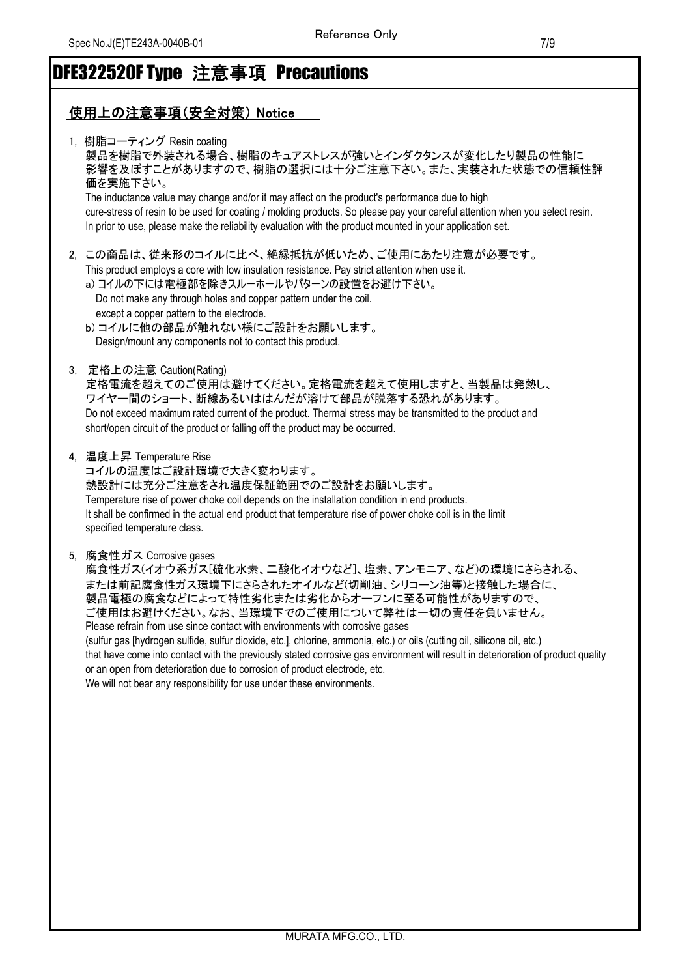# DFE322520F Type 注意事項 Precautions

### 使用上の注意事項(安全対策) Notice

| 1, 樹脂コーティング Resin coating<br>製品を樹脂で外装される場合、樹脂のキュアストレスが強いとインダクタンスが変化したり製品の性能に<br>影響を及ぼすことがありますので、樹脂の選択には十分ご注意下さい。また、実装された状態での信頼性評<br>価を実施下さい。<br>The inductance value may change and/or it may affect on the product's performance due to high<br>cure-stress of resin to be used for coating / molding products. So please pay your careful attention when you select resin.<br>In prior to use, please make the reliability evaluation with the product mounted in your application set.                                                                                                                                                                                                                                           |
|-------------------------------------------------------------------------------------------------------------------------------------------------------------------------------------------------------------------------------------------------------------------------------------------------------------------------------------------------------------------------------------------------------------------------------------------------------------------------------------------------------------------------------------------------------------------------------------------------------------------------------------------------------------------------------------------------------------------------------------|
| 2,この商品は、従来形のコイルに比べ、絶縁抵抗が低いため、ご使用にあたり注意が必要です。<br>This product employs a core with low insulation resistance. Pay strict attention when use it.<br>a)コイルの下には電極部を除きスルーホールやパターンの設置をお避け下さい。<br>Do not make any through holes and copper pattern under the coil.<br>except a copper pattern to the electrode.<br>b)コイルに他の部品が触れない様にご設計をお願いします。<br>Design/mount any components not to contact this product.                                                                                                                                                                                                                                                                                                                                 |
| 3, 定格上の注意 Caution(Rating)<br>定格電流を超えてのご使用は避けてください。定格電流を超えて使用しますと、当製品は発熱し、<br>ワイヤー間のショート、断線あるいははんだが溶けて部品が脱落する恐れがあります。<br>Do not exceed maximum rated current of the product. Thermal stress may be transmitted to the product and<br>short/open circuit of the product or falling off the product may be occurred.                                                                                                                                                                                                                                                                                                                                                                                                                   |
| 4, 温度上昇 Temperature Rise<br>コイルの温度はご設計環境で大きく変わります。<br>熱設計には充分ご注意をされ温度保証範囲でのご設計をお願いします。<br>Temperature rise of power choke coil depends on the installation condition in end products.<br>It shall be confirmed in the actual end product that temperature rise of power choke coil is in the limit<br>specified temperature class.                                                                                                                                                                                                                                                                                                                                                                                                  |
| 5, 腐食性ガス Corrosive gases<br>腐食性ガス(イオウ系ガス[硫化水素、二酸化イオウなど]、塩素、アンモニア、など)の環境にさらされる、<br>または前記腐食性ガス環境下にさらされたオイルなど(切削油、シリコーン油等)と接触した場合に、<br>製品電極の腐食などによって特性劣化または劣化からオープンに至る可能性がありますので、<br>ご使用はお避けください。なお、当環境下でのご使用について弊社は一切の責任を負いません。<br>Please refrain from use since contact with environments with corrosive gases<br>(sulfur gas [hydrogen sulfide, sulfur dioxide, etc.], chlorine, ammonia, etc.) or oils (cutting oil, silicone oil, etc.)<br>that have come into contact with the previously stated corrosive gas environment will result in deterioration of product quality<br>or an open from deterioration due to corrosion of product electrode, etc.<br>We will not bear any responsibility for use under these environments. |
|                                                                                                                                                                                                                                                                                                                                                                                                                                                                                                                                                                                                                                                                                                                                     |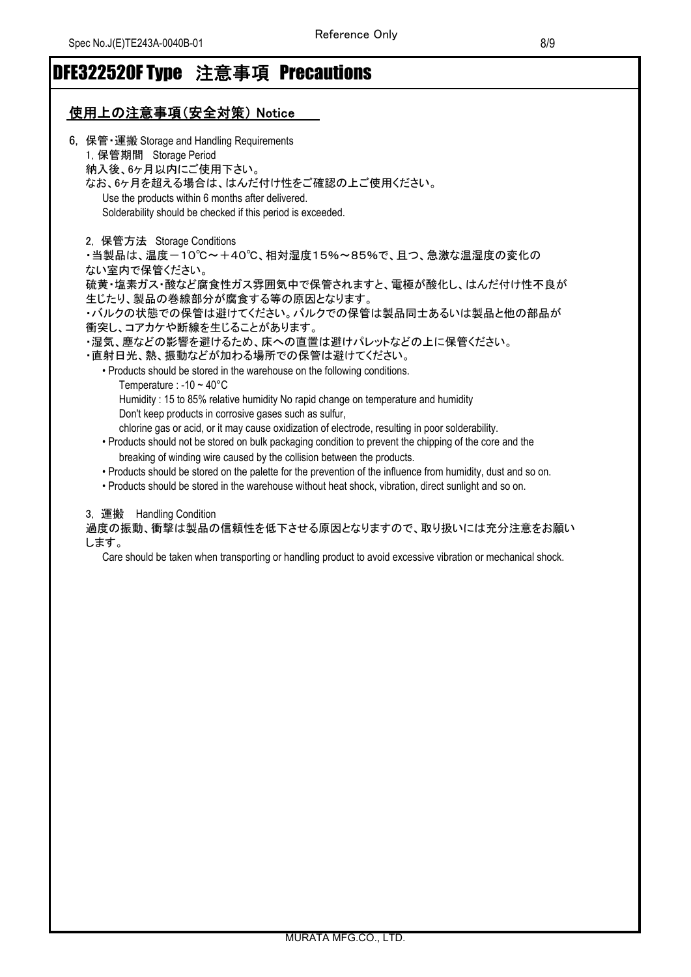## DFE322520F Type 注意事項 Precautions

### 使用上の注意事項(安全対策) Notice

| 6, 保管 · 運搬 Storage and Handling Requirements                                                                  |
|---------------------------------------------------------------------------------------------------------------|
| 1, 保管期間 Storage Period                                                                                        |
| 納入後、6ヶ月以内にご使用下さい。                                                                                             |
| なお、6ヶ月を超える場合は、はんだ付け性をご確認の上ご使用ください。                                                                            |
| Use the products within 6 months after delivered.                                                             |
| Solderability should be checked if this period is exceeded.                                                   |
| 2, 保管方法 Storage Conditions                                                                                    |
| ・当製品は、温度-10℃~+40℃、相対湿度15%~85%で、且つ、急激な温湿度の変化の                                                                  |
| ない室内で保管ください。                                                                                                  |
| 硫黄・塩素ガス・酸など腐食性ガス雰囲気中で保管されますと、電極が酸化し、はんだ付け性不良が                                                                 |
| 生じたり、製品の巻線部分が腐食する等の原因となります。                                                                                   |
| ・バルクの状態での保管は避けてください。バルクでの保管は製品同士あるいは製品と他の部品が                                                                  |
| 衝突し、コアカケや断線を生じることがあります。                                                                                       |
| ・湿気、塵などの影響を避けるため、床への直置は避けパレットなどの上に保管ください。                                                                     |
| ・直射日光、熱、振動などが加わる場所での保管は避けてください。                                                                               |
| • Products should be stored in the warehouse on the following conditions.                                     |
| Temperature : -10 $\sim$ 40°C                                                                                 |
| Humidity: 15 to 85% relative humidity No rapid change on temperature and humidity                             |
| Don't keep products in corrosive gases such as sulfur,                                                        |
| chlorine gas or acid, or it may cause oxidization of electrode, resulting in poor solderability.              |
| • Products should not be stored on bulk packaging condition to prevent the chipping of the core and the       |
| breaking of winding wire caused by the collision between the products.                                        |
| • Products should be stored on the palette for the prevention of the influence from humidity, dust and so on. |
| Dreducte chauld he eternd in the warehouse without heat chaok, vibration, direct qualisht and ee an           |

• Products should be stored in the warehouse without heat shock, vibration, direct sunlight and so on.

3, 運搬 Handling Condition

過度の振動、衝撃は製品の信頼性を低下させる原因となりますので、取り扱いには充分注意をお願い します。

Care should be taken when transporting or handling product to avoid excessive vibration or mechanical shock.